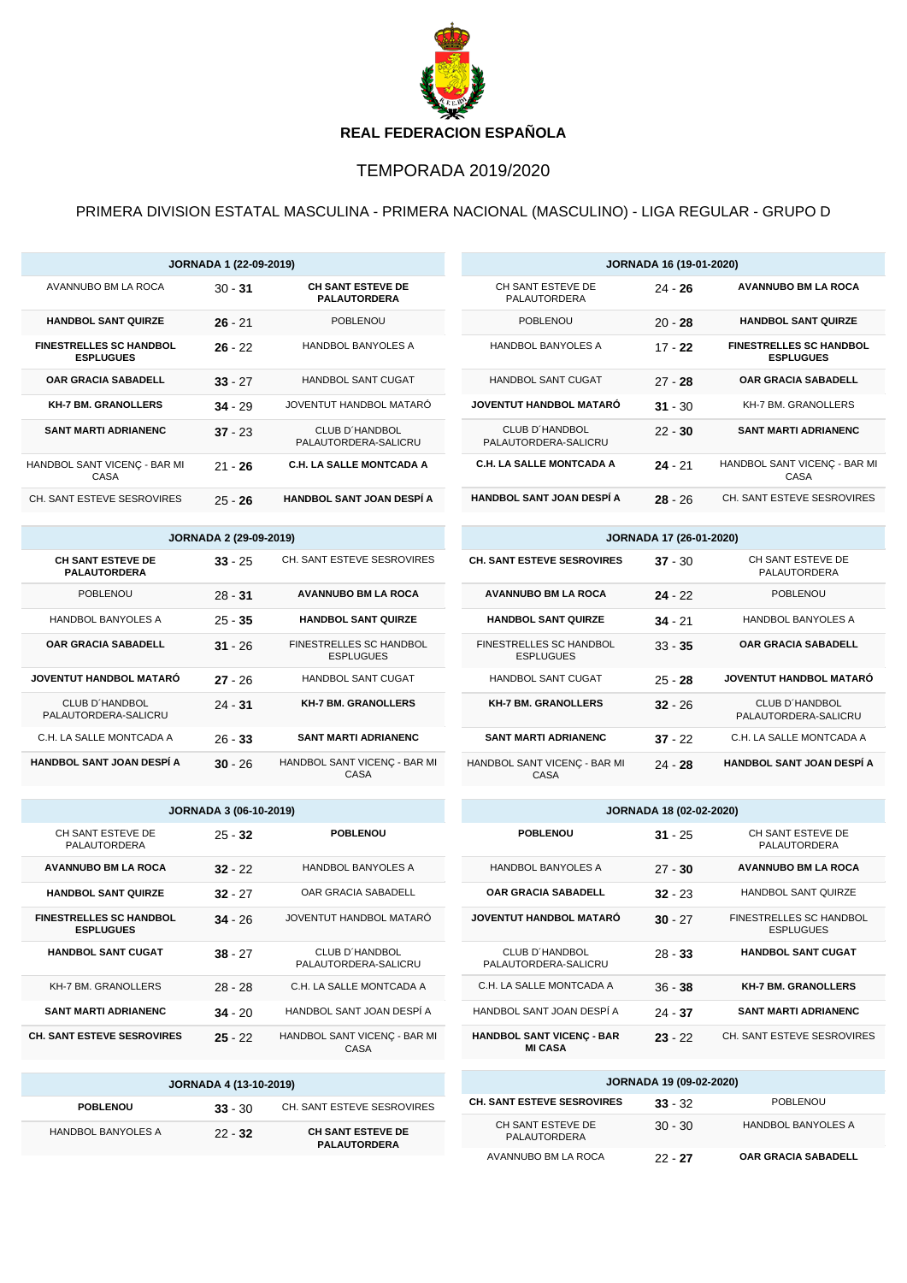

## TEMPORADA 2019/2020

PRIMERA DIVISION ESTATAL MASCULINA - PRIMERA NACIONAL (MASCULINO) - LIGA REGULAR - GRUPO D

|                                                    | <b>JORNADA 1 (22-09-2019)</b> |                                                 |                                               | <b>JORNADA 16 (19-01-2020)</b> |                                                    |
|----------------------------------------------------|-------------------------------|-------------------------------------------------|-----------------------------------------------|--------------------------------|----------------------------------------------------|
| AVANNUBO BM LA ROCA                                | $30 - 31$                     | <b>CH SANT ESTEVE DE</b><br><b>PALAUTORDERA</b> | CH SANT ESTEVE DE<br>PALAUTORDERA             | $24 - 26$                      | <b>AVANNUBO BM LA ROCA</b>                         |
| <b>HANDBOL SANT QUIRZE</b>                         | $26 - 21$                     | <b>POBLENOU</b>                                 | <b>POBLENOU</b>                               | $20 - 28$                      | <b>HANDBOL SANT QUIRZE</b>                         |
| <b>FINESTRELLES SC HANDBOL</b><br><b>ESPLUGUES</b> | $26 - 22$                     | <b>HANDBOL BANYOLES A</b>                       | <b>HANDBOL BANYOLES A</b>                     | $17 - 22$                      | <b>FINESTRELLES SC HANDBOL</b><br><b>ESPLUGUES</b> |
| <b>OAR GRACIA SABADELL</b>                         | $33 - 27$                     | <b>HANDBOL SANT CUGAT</b>                       | <b>HANDBOL SANT CUGAT</b>                     | $27 - 28$                      | <b>OAR GRACIA SABADELL</b>                         |
| <b>KH-7 BM, GRANOLLERS</b>                         | $34 - 29$                     | JOVENTUT HANDBOL MATARÓ                         | <b>JOVENTUT HANDBOL MATARO</b>                | $31 - 30$                      | KH-7 BM, GRANOLLERS                                |
| <b>SANT MARTI ADRIANENC</b>                        | $37 - 23$                     | <b>CLUB D'HANDBOL</b><br>PALAUTORDERA-SALICRU   | <b>CLUB D'HANDBOL</b><br>PALAUTORDERA-SALICRU | $22 - 30$                      | <b>SANT MARTI ADRIANENC</b>                        |
| HANDBOL SANT VICENÇ - BAR MI<br>CASA               | $21 - 26$                     | <b>C.H. LA SALLE MONTCADA A</b>                 | <b>C.H. LA SALLE MONTCADA A</b>               | $24 - 21$                      | HANDBOL SANT VICENÇ - BAR MI<br>CASA               |
| CH. SANT ESTEVE SESROVIRES                         | $25 - 26$                     | <b>HANDBOL SANT JOAN DESPÍ A</b>                | <b>HANDBOL SANT JOAN DESPÍ A</b>              | $28 - 26$                      | CH. SANT ESTEVE SESROVIRES                         |

| JORNADA 2 (29-09-2019)                          |           |                                                    |  |  |
|-------------------------------------------------|-----------|----------------------------------------------------|--|--|
| <b>CH SANT ESTEVE DE</b><br><b>PALAUTORDERA</b> | $33 - 25$ | CH. SANT ESTEVE SESROVIRES                         |  |  |
| <b>POBLENOU</b>                                 | $28 - 31$ | <b>AVANNUBO BM LA ROCA</b>                         |  |  |
| <b>HANDBOL BANYOLES A</b>                       | $25 - 35$ | <b>HANDBOL SANT QUIRZE</b>                         |  |  |
| <b>OAR GRACIA SABADELL</b>                      | $31 - 26$ | <b>FINESTRELLES SC HANDBOL</b><br><b>ESPLUGUES</b> |  |  |
| JOVENTUT HANDBOL MATARÓ                         | $27 - 26$ | <b>HANDBOL SANT CUGAT</b>                          |  |  |
| CLUB D'HANDBOL<br>PALAUTORDERA-SALICRU          | $24 - 31$ | <b>KH-7 BM. GRANOLLERS</b>                         |  |  |
| C.H. LA SALLE MONTCADA A                        | $26 - 33$ | <b>SANT MARTI ADRIANENC</b>                        |  |  |
| HANDBOL SANT JOAN DESPÍ A                       | $30 - 26$ | HANDBOL SANT VICENÇ - BAR MI<br>CASA               |  |  |

| <b>JORNADA 3 (06-10-2019)</b>                      |           |                                        |  |  |
|----------------------------------------------------|-----------|----------------------------------------|--|--|
| CH SANT ESTEVE DE<br>PALAUTORDERA                  | $25 - 32$ | <b>POBLENOU</b>                        |  |  |
| <b>AVANNUBO BM LA ROCA</b>                         | $32 - 22$ | <b>HANDBOL BANYOLES A</b>              |  |  |
| <b>HANDBOL SANT QUIRZE</b>                         | $32 - 27$ | OAR GRACIA SABADELL                    |  |  |
| <b>FINESTRELLES SC HANDBOL</b><br><b>ESPLUGUES</b> | $34 - 26$ | JOVENTUT HANDBOL MATARÓ                |  |  |
| <b>HANDBOL SANT CUGAT</b>                          | $38 - 27$ | CLUB D'HANDBOL<br>PALAUTORDERA-SALICRU |  |  |
| KH-7 BM. GRANOLLERS                                | $28 - 28$ | C.H. LA SALLE MONTCADA A               |  |  |
| <b>SANT MARTI ADRIANENC</b>                        | $34 - 20$ | HANDBOL SANT JOAN DESPÍ A              |  |  |
| <b>CH. SANT ESTEVE SESROVIRES</b>                  | $25 - 22$ | HANDBOL SANT VICENC - BAR MI<br>CASA   |  |  |

| <b>JORNADA 4 (13-10-2019)</b> |           |                                                 |  |  |
|-------------------------------|-----------|-------------------------------------------------|--|--|
| <b>POBLENOU</b>               | $33 - 30$ | CH. SANT ESTEVE SESROVIRES                      |  |  |
| HANDBOL BANYOLES A            | $22 - 32$ | <b>CH SANT ESTEVE DE</b><br><b>PALAUTORDERA</b> |  |  |

| <b>JORNADA 17 (26-01-2020)</b>                     |           |                                        |  |  |
|----------------------------------------------------|-----------|----------------------------------------|--|--|
| <b>CH. SANT ESTEVE SESROVIRES</b>                  | $37 - 30$ | CH SANT ESTEVE DE<br>PALAUTORDERA      |  |  |
| <b>AVANNUBO BM LA ROCA</b>                         | $24 - 22$ | <b>POBLENOU</b>                        |  |  |
| <b>HANDBOL SANT QUIRZE</b>                         | $34 - 21$ | <b>HANDBOL BANYOLES A</b>              |  |  |
| <b>FINESTRELLES SC HANDBOL</b><br><b>ESPLUGUES</b> | $33 - 35$ | <b>OAR GRACIA SABADELL</b>             |  |  |
| <b>HANDBOL SANT CUGAT</b>                          | $25 - 28$ | <b>JOVENTUT HANDBOL MATARÓ</b>         |  |  |
| <b>KH-7 BM, GRANOLLERS</b>                         | $32 - 26$ | CLUB D'HANDBOL<br>PALAUTORDERA-SALICRU |  |  |
| <b>SANT MARTI ADRIANENC</b>                        | $37 - 22$ | C.H. LA SALLE MONTCADA A               |  |  |
| HANDBOL SANT VICENC - BAR MI<br>CASA               | $24 - 28$ | <b>HANDBOL SANT JOAN DESPÍ A</b>       |  |  |

| <b>JORNADA 18 (02-02-2020)</b>                     |           |                                             |  |
|----------------------------------------------------|-----------|---------------------------------------------|--|
| <b>POBLENOU</b>                                    | $31 - 25$ | CH SANT ESTEVE DE<br>PALAUTORDERA           |  |
| <b>HANDBOL BANYOLES A</b>                          | $27 - 30$ | <b>AVANNUBO BM LA ROCA</b>                  |  |
| <b>OAR GRACIA SABADELL</b>                         | $32 - 23$ | <b>HANDBOL SANT QUIRZE</b>                  |  |
| <b>JOVENTUT HANDBOL MATARO</b>                     | $30 - 27$ | FINESTRELLES SC HANDBOL<br><b>ESPLUGUES</b> |  |
| <b>CLUB D'HANDBOL</b><br>PALAUTORDERA-SALICRU      | $28 - 33$ | <b>HANDBOL SANT CUGAT</b>                   |  |
| C.H. LA SALLE MONTCADA A                           | $36 - 38$ | <b>KH-7 BM. GRANOLLERS</b>                  |  |
| HANDBOL SANT JOAN DESPÍ A                          | $24 - 37$ | <b>SANT MARTI ADRIANENC</b>                 |  |
| <b>HANDBOL SANT VICENC - BAR</b><br><b>MI CASA</b> | $23 - 22$ | CH. SANT ESTEVE SESROVIRES                  |  |

| <b>JORNADA 19 (09-02-2020)</b>    |           |                            |  |  |
|-----------------------------------|-----------|----------------------------|--|--|
| <b>CH. SANT ESTEVE SESROVIRES</b> | $33 - 32$ | <b>POBLENOU</b>            |  |  |
| CH SANT ESTEVE DE<br>PALAUTORDERA | $30 - 30$ | <b>HANDBOL BANYOLES A</b>  |  |  |
| AVANNUBO BM LA ROCA               | $22 - 27$ | <b>OAR GRACIA SABADELL</b> |  |  |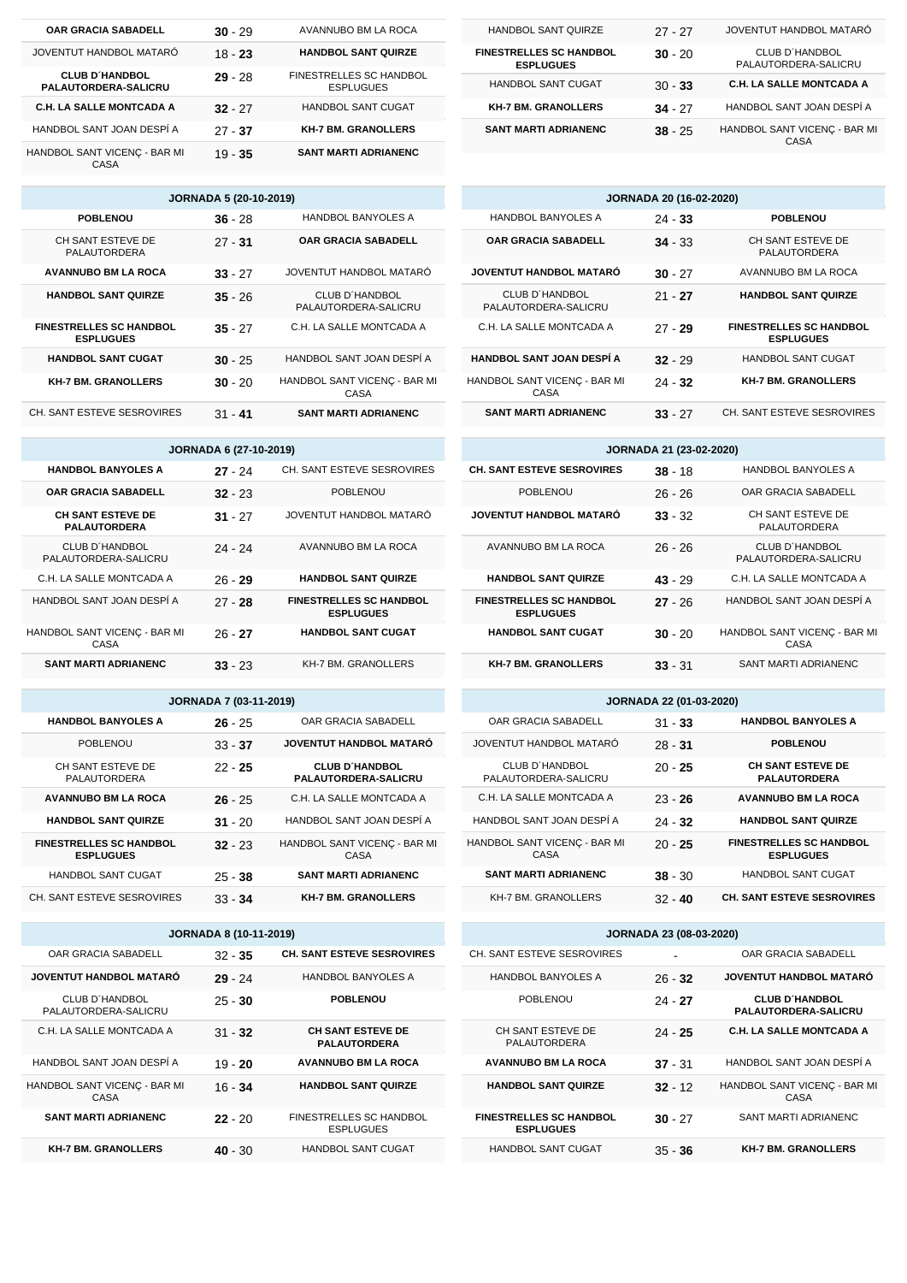| <b>OAR GRACIA SABADELL</b>                           | $30 - 29$ | AVANNUBO BM LA ROCA                         |
|------------------------------------------------------|-----------|---------------------------------------------|
| JOVENTUT HANDBOL MATARÓ                              | $18 - 23$ | <b>HANDBOL SANT QUIRZE</b>                  |
| <b>CLUB D'HANDBOL</b><br><b>PALAUTORDERA-SALICRU</b> | $29 - 28$ | FINESTRELLES SC HANDBOL<br><b>ESPLUGUES</b> |
| <b>C.H. LA SALLE MONTCADA A</b>                      | $32 - 27$ | <b>HANDBOL SANT CUGAT</b>                   |
| HANDBOL SANT JOAN DESPÍ A                            | $27 - 37$ | <b>KH-7 BM. GRANOLLERS</b>                  |
| HANDBOL SANT VICENÇ - BAR MI<br>CASA                 | $19 - 35$ | <b>SANT MARTI ADRIANENC</b>                 |

| <b>JORNADA 5 (20-10-2019)</b>                      |           |                                        |  |  |
|----------------------------------------------------|-----------|----------------------------------------|--|--|
| <b>POBLENOU</b>                                    | $36 - 28$ | <b>HANDBOL BANYOLES A</b>              |  |  |
| CH SANT ESTEVE DE<br>PALAUTORDERA                  | $27 - 31$ | <b>OAR GRACIA SABADELL</b>             |  |  |
| <b>AVANNUBO BM LA ROCA</b>                         | $33 - 27$ | JOVENTUT HANDBOL MATARÓ                |  |  |
| <b>HANDBOL SANT QUIRZE</b>                         | $35 - 26$ | CLUB D'HANDBOL<br>PALAUTORDERA-SALICRU |  |  |
| <b>FINESTRELLES SC HANDBOL</b><br><b>ESPLUGUES</b> | $35 - 27$ | C.H. LA SALLE MONTCADA A               |  |  |
| <b>HANDBOL SANT CUGAT</b>                          | $30 - 25$ | HANDBOL SANT JOAN DESPÍ A              |  |  |
| <b>KH-7 BM. GRANOLLERS</b>                         | $30 - 20$ | HANDBOL SANT VICENC - BAR MI<br>CASA   |  |  |
| CH. SANT ESTEVE SESROVIRES                         | $31 - 41$ | <b>SANT MARTI ADRIANENC</b>            |  |  |

| <b>JORNADA 6 (27-10-2019)</b>                   |           |                                                    |  |  |
|-------------------------------------------------|-----------|----------------------------------------------------|--|--|
| <b>HANDBOL BANYOLES A</b>                       | $27 - 24$ | CH. SANT ESTEVE SESROVIRES                         |  |  |
| <b>OAR GRACIA SABADELL</b>                      | $32 - 23$ | <b>POBLENOU</b>                                    |  |  |
| <b>CH SANT ESTEVE DE</b><br><b>PALAUTORDERA</b> | $31 - 27$ | JOVENTUT HANDBOL MATARÓ                            |  |  |
| CLUB D'HANDBOL<br>PALAUTORDERA-SALICRU          | 24 - 24   | AVANNUBO BM LA ROCA                                |  |  |
| C.H. LA SALLE MONTCADA A                        | $26 - 29$ | <b>HANDBOL SANT QUIRZE</b>                         |  |  |
| HANDBOL SANT JOAN DESPÍ A                       | 27 - 28   | <b>FINESTRELLES SC HANDBOL</b><br><b>ESPLUGUES</b> |  |  |
| HANDBOL SANT VICENC - BAR MI<br>CASA            | $26 - 27$ | <b>HANDBOL SANT CUGAT</b>                          |  |  |
| <b>SANT MARTI ADRIANENC</b>                     | $33 - 23$ | <b>KH-7 BM. GRANOLLERS</b>                         |  |  |

#### **JORNADA 7 (03-11-2019)**

| <b>HANDBOL BANYOLES A</b>                          | $26 - 25$ | OAR GRACIA SABADELL                                  |
|----------------------------------------------------|-----------|------------------------------------------------------|
| <b>POBLENOU</b>                                    | $33 - 37$ | JOVENTUT HANDBOL MATARÓ                              |
| CH SANT ESTEVE DE<br>PALAUTORDERA                  | $22 - 25$ | <b>CLUB D'HANDBOL</b><br><b>PALAUTORDERA-SALICRU</b> |
| <b>AVANNUBO BM LA ROCA</b>                         | $26 - 25$ | C.H. LA SALLE MONTCADA A                             |
| <b>HANDBOL SANT QUIRZE</b>                         | $31 - 20$ | HANDBOL SANT JOAN DESPÍ A                            |
| <b>FINESTRELLES SC HANDBOL</b><br><b>ESPLUGUES</b> | $32 - 23$ | HANDBOL SANT VICENÇ - BAR MI<br>CASA                 |
| <b>HANDBOL SANT CUGAT</b>                          | $25 - 38$ | <b>SANT MARTI ADRIANENC</b>                          |
| CH. SANT ESTEVE SESROVIRES                         | $33 - 34$ | <b>KH-7 BM. GRANOLLERS</b>                           |

| <b>JORNADA 8 (10-11-2019)</b>          |           |                                                 |  |  |
|----------------------------------------|-----------|-------------------------------------------------|--|--|
| OAR GRACIA SABADELL                    | $32 - 35$ | <b>CH. SANT ESTEVE SESROVIRES</b>               |  |  |
| JOVENTUT HANDBOL MATARÓ                | $29 - 24$ | <b>HANDBOL BANYOLES A</b>                       |  |  |
| CLUB D'HANDBOL<br>PALAUTORDERA-SALICRU | $25 - 30$ | <b>POBLENOU</b>                                 |  |  |
| C.H. LA SALLE MONTCADA A               | $31 - 32$ | <b>CH SANT ESTEVE DE</b><br><b>PALAUTORDERA</b> |  |  |
| HANDBOL SANT JOAN DESPÍ A              | $19 - 20$ | <b>AVANNUBO BM LA ROCA</b>                      |  |  |
| HANDBOL SANT VICENC - BAR MI<br>CASA   | $16 - 34$ | <b>HANDBOL SANT QUIRZE</b>                      |  |  |
| <b>SANT MARTI ADRIANENC</b>            | $22 - 20$ | FINESTRELLES SC HANDBOL<br><b>ESPLUGUES</b>     |  |  |
| <b>KH-7 BM. GRANOLLERS</b>             | $40 - 30$ | <b>HANDBOL SANT CUGAT</b>                       |  |  |

| <b>HANDBOL SANT QUIRZE</b>                         | $27 - 27$ | JOVENTUT HANDBOL MATARÓ                |
|----------------------------------------------------|-----------|----------------------------------------|
| <b>FINESTRELLES SC HANDBOL</b><br><b>ESPLUGUES</b> | $30 - 20$ | CLUB D'HANDBOL<br>PALAUTORDERA-SALICRU |
| <b>HANDBOL SANT CUGAT</b>                          | $30 - 33$ | <b>C.H. LA SALLE MONTCADA A</b>        |
| <b>KH-7 BM. GRANOLLERS</b>                         | $34 - 27$ | HANDBOL SANT JOAN DESPÍ A              |
| <b>SANT MARTI ADRIANENC</b>                        | $38 - 25$ | HANDBOL SANT VICENÇ - BAR MI<br>CASA   |

| <b>JORNADA 20 (16-02-2020)</b>                |           |                                                    |  |  |
|-----------------------------------------------|-----------|----------------------------------------------------|--|--|
| <b>HANDBOL BANYOLES A</b>                     | $24 - 33$ | <b>POBLENOU</b>                                    |  |  |
| <b>OAR GRACIA SABADELL</b>                    | $34 - 33$ | CH SANT ESTEVE DE<br>PALAUTORDERA                  |  |  |
| JOVENTUT HANDBOL MATARÓ                       | $30 - 27$ | AVANNUBO BM LA ROCA                                |  |  |
| <b>CLUB D'HANDBOL</b><br>PALAUTORDERA-SALICRU | $21 - 27$ | <b>HANDBOL SANT QUIRZE</b>                         |  |  |
| C.H. LA SALLE MONTCADA A                      | $27 - 29$ | <b>FINESTRELLES SC HANDBOL</b><br><b>ESPLUGUES</b> |  |  |
| <b>HANDBOL SANT JOAN DESPÍ A</b>              | $32 - 29$ | HANDBOL SANT CUGAT                                 |  |  |
| HANDBOL SANT VICENC - BAR MI<br>CASA          | $24 - 32$ | <b>KH-7 BM. GRANOLLERS</b>                         |  |  |
| <b>SANT MARTI ADRIANENC</b>                   | $33 - 27$ | CH. SANT ESTEVE SESROVIRES                         |  |  |

| <b>JORNADA 21 (23-02-2020)</b>                     |           |                                        |  |
|----------------------------------------------------|-----------|----------------------------------------|--|
| <b>CH. SANT ESTEVE SESROVIRES</b>                  | $38 - 18$ | <b>HANDBOL BANYOLES A</b>              |  |
| <b>POBLENOU</b>                                    | $26 - 26$ | OAR GRACIA SABADELL                    |  |
| JOVENTUT HANDBOL MATARÓ                            | $33 - 32$ | CH SANT ESTEVE DE<br>PALAUTORDERA      |  |
| AVANNUBO BM LA ROCA                                | $26 - 26$ | CLUB D'HANDBOL<br>PALAUTORDERA-SALICRU |  |
| <b>HANDBOL SANT QUIRZE</b>                         | $43 - 29$ | C.H. LA SALLE MONTCADA A               |  |
| <b>FINESTRELLES SC HANDBOL</b><br><b>ESPLUGUES</b> | $27 - 26$ | HANDBOL SANT JOAN DESPÍ A              |  |
| <b>HANDBOL SANT CUGAT</b>                          | $30 - 20$ | HANDBOL SANT VICENC - BAR MI<br>CASA   |  |
| <b>KH-7 BM. GRANOLLERS</b>                         | $33 - 31$ | SANT MARTI ADRIANENC                   |  |

### **JORNADA 22 (01-03-2020)**

| OAR GRACIA SABADELL                           | $31 - 33$ | <b>HANDBOL BANYOLES A</b>                          |
|-----------------------------------------------|-----------|----------------------------------------------------|
| JOVENTUT HANDBOL MATARÓ                       | $28 - 31$ | <b>POBLENOU</b>                                    |
| <b>CLUB D'HANDBOL</b><br>PALAUTORDERA-SALICRU | $20 - 25$ | <b>CH SANT ESTEVE DE</b><br><b>PALAUTORDERA</b>    |
| C.H. LA SALLE MONTCADA A                      | $23 - 26$ | <b>AVANNUBO BM LA ROCA</b>                         |
| HANDBOL SANT JOAN DESPÍ A                     | $24 - 32$ | <b>HANDBOL SANT QUIRZE</b>                         |
| HANDBOL SANT VICENC - BAR MI<br>CASA          | $20 - 25$ | <b>FINESTRELLES SC HANDBOL</b><br><b>ESPLUGUES</b> |
| <b>SANT MARTI ADRIANENC</b>                   | $38 - 30$ | <b>HANDBOL SANT CUGAT</b>                          |
| KH-7 BM. GRANOLLERS                           | $32 - 40$ | <b>CH. SANT ESTEVE SESROVIRES</b>                  |

| <b>JORNADA 23 (08-03-2020)</b>                     |           |                                                      |  |
|----------------------------------------------------|-----------|------------------------------------------------------|--|
| CH. SANT ESTEVE SESROVIRES                         |           | OAR GRACIA SABADELL                                  |  |
| <b>HANDBOL BANYOLES A</b>                          | $26 - 32$ | <b>JOVENTUT HANDBOL MATARO</b>                       |  |
| <b>POBLENOU</b>                                    | $24 - 27$ | <b>CLUB D'HANDBOL</b><br><b>PALAUTORDERA-SALICRU</b> |  |
| CH SANT ESTEVE DE<br><b>PALAUTORDERA</b>           | $24 - 25$ | <b>C.H. LA SALLE MONTCADA A</b>                      |  |
| <b>AVANNUBO BM LA ROCA</b>                         | $37 - 31$ | HANDBOL SANT JOAN DESPÍ A                            |  |
| <b>HANDBOL SANT QUIRZE</b>                         | $32 - 12$ | HANDBOL SANT VICENÇ - BAR MI<br>CASA                 |  |
| <b>FINESTRELLES SC HANDBOL</b><br><b>ESPLUGUES</b> | $30 - 27$ | SANT MARTI ADRIANENC                                 |  |
| HANDBOL SANT CUGAT                                 | $35 - 36$ | <b>KH-7 BM. GRANOLLERS</b>                           |  |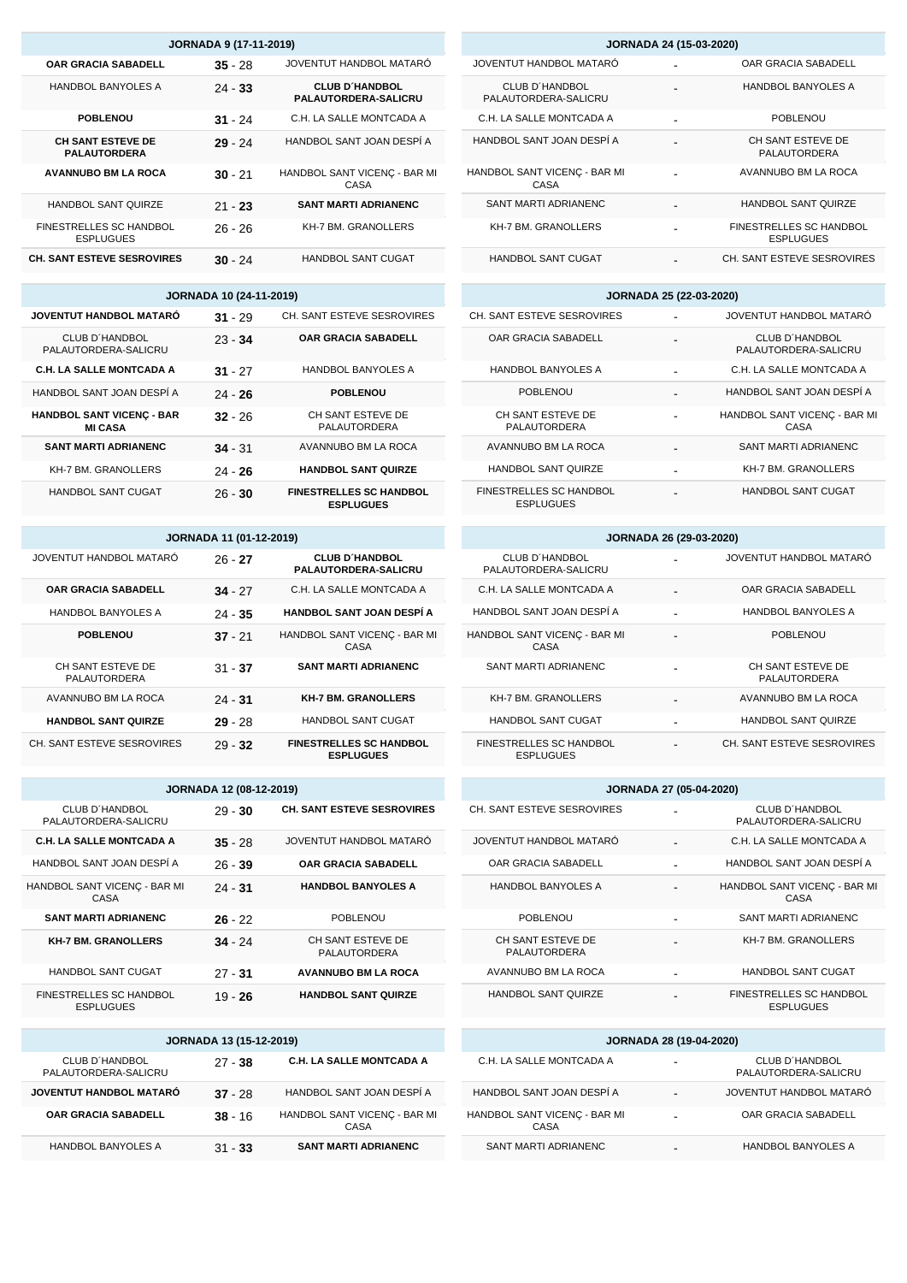| <b>JORNADA 24 (15-03-2020)</b>         |  |                                                    |  |
|----------------------------------------|--|----------------------------------------------------|--|
| JOVENTUT HANDBOL MATARÓ                |  | OAR GRACIA SABADELL                                |  |
| CLUB D'HANDBOL<br>PALAUTORDERA-SALICRU |  | <b>HANDBOL BANYOLES A</b>                          |  |
| C.H. LA SALLE MONTCADA A               |  | <b>POBLENOU</b>                                    |  |
| HANDBOL SANT JOAN DESPÍ A              |  | CH SANT ESTEVE DE<br>PALAUTORDERA                  |  |
| HANDBOL SANT VICENC - BAR MI<br>CASA   |  | AVANNUBO BM LA ROCA                                |  |
| SANT MARTI ADRIANENC                   |  | <b>HANDBOL SANT QUIRZE</b>                         |  |
| <b>KH-7 BM, GRANOLLERS</b>             |  | <b>FINESTRELLES SC HANDBOL</b><br><b>ESPLUGUES</b> |  |
| HANDBOL SANT CUGAT                     |  | CH. SANT ESTEVE SESROVIRES                         |  |

# **JORNADA 25 (22-03-2020)**

| CH. SANT ESTEVE SESROVIRES                         | JOVENTUT HANDBOL MATARÓ                |
|----------------------------------------------------|----------------------------------------|
| OAR GRACIA SABADELL                                | CLUB D'HANDBOL<br>PALAUTORDERA-SALICRU |
| <b>HANDBOL BANYOLES A</b>                          | C.H. LA SALLE MONTCADA A               |
| <b>POBLENOU</b>                                    | HANDBOL SANT JOAN DESPÍ A              |
| CH SANT ESTEVE DE<br>PALAUTORDERA                  | HANDBOL SANT VICENC - BAR MI<br>CASA   |
| AVANNUBO BM LA ROCA                                | SANT MARTI ADRIANENC                   |
| <b>HANDBOL SANT QUIRZE</b>                         | <b>KH-7 BM, GRANOLLERS</b>             |
| <b>FINESTRELLES SC HANDBOL</b><br><b>ESPLUGUES</b> | <b>HANDBOL SANT CUGAT</b>              |

### **JORNADA 26 (29-03-2020)**

| CLUB D'HANDBOL<br>PALAUTORDERA-SALICRU      |   | JOVENTUT HANDBOL MATARÓ           |
|---------------------------------------------|---|-----------------------------------|
| C.H. LA SALLE MONTCADA A                    |   | OAR GRACIA SABADELL               |
| HANDBOL SANT JOAN DESPÍ A                   |   | <b>HANDBOL BANYOLES A</b>         |
| HANDBOL SANT VICENC - BAR MI<br>CASA        |   | <b>POBLENOU</b>                   |
| SANT MARTI ADRIANENC                        |   | CH SANT ESTEVE DE<br>PALAUTORDERA |
| <b>KH-7 BM, GRANOLLERS</b>                  |   | AVANNUBO BM LA ROCA               |
| <b>HANDBOL SANT CUGAT</b>                   | ٠ | <b>HANDBOL SANT QUIRZE</b>        |
| FINESTRELLES SC HANDBOL<br><b>ESPLUGUES</b> |   | CH. SANT ESTEVE SESROVIRES        |

| <b>JORNADA 27 (05-04-2020)</b>    |  |                                             |  |
|-----------------------------------|--|---------------------------------------------|--|
| CH. SANT ESTEVE SESROVIRES        |  | CLUB D'HANDBOL<br>PALAUTORDERA-SALICRU      |  |
| JOVENTUT HANDROL MATARÓ           |  | C.H. LA SALLE MONTCADA A                    |  |
| OAR GRACIA SABADELL               |  | HANDBOL SANT JOAN DESPÍ A                   |  |
| <b>HANDBOL BANYOLES A</b>         |  | HANDBOL SANT VICENÇ - BAR MI<br>CASA        |  |
| <b>POBLENOU</b>                   |  | SANT MARTI ADRIANENC                        |  |
| CH SANT ESTEVE DE<br>PALAUTORDERA |  | <b>KH-7 BM, GRANOLLERS</b>                  |  |
| AVANNUBO BM LA ROCA               |  | <b>HANDBOL SANT CUGAT</b>                   |  |
| <b>HANDBOL SANT QUIRZE</b>        |  | FINESTRELLES SC HANDBOL<br><b>ESPLUGUES</b> |  |
|                                   |  |                                             |  |
| <b>JORNADA 28 (19-04-2020)</b>    |  |                                             |  |

| C.H. LA SALLE MONTCADA A             |   | CLUB D'HANDBOL<br>PALAUTORDERA-SALICRU |
|--------------------------------------|---|----------------------------------------|
| HANDBOL SANT JOAN DESPÍ A            |   | JOVENTUT HANDBOL MATARÓ                |
| HANDBOL SANT VICENC - BAR MI<br>CASA | ۰ | OAR GRACIA SABADELL                    |
| SANT MARTI ADRIANENC                 |   | <b>HANDBOL BANYOLES A</b>              |

| <b>JORNADA 9 (17-11-2019)</b>                      |           |                                                      |  |
|----------------------------------------------------|-----------|------------------------------------------------------|--|
| <b>OAR GRACIA SABADELL</b>                         | $35 - 28$ | JOVENTUT HANDBOL MATARÓ                              |  |
| <b>HANDBOL BANYOLES A</b>                          | $24 - 33$ | <b>CLUB D'HANDBOL</b><br><b>PALAUTORDERA-SALICRU</b> |  |
| <b>POBLENOU</b>                                    | $31 - 24$ | C.H. LA SALLE MONTCADA A                             |  |
| <b>CH SANT ESTEVE DE</b><br><b>PALAUTORDERA</b>    | $29 - 24$ | HANDBOL SANT JOAN DESPÍ A                            |  |
| <b>AVANNUBO BM LA ROCA</b>                         | $30 - 21$ | HANDBOL SANT VICENÇ - BAR MI<br>CASA                 |  |
| <b>HANDBOL SANT QUIRZE</b>                         | $21 - 23$ | <b>SANT MARTI ADRIANENC</b>                          |  |
| <b>FINESTRELLES SC HANDBOL</b><br><b>ESPLUGUES</b> | $26 - 26$ | <b>KH-7 BM. GRANOLLERS</b>                           |  |
| <b>CH. SANT ESTEVE SESROVIRES</b>                  | $30 - 24$ | <b>HANDBOL SANT CUGAT</b>                            |  |

### **JORNADA 10 (24-11-2019)**

| JOVENTUT HANDBOL MATARÓ                            | $31 - 29$ | CH. SANT ESTEVE SESROVIRES                         |
|----------------------------------------------------|-----------|----------------------------------------------------|
| CLUB D'HANDBOL<br>PALAUTORDERA-SALICRU             | $23 - 34$ | <b>OAR GRACIA SABADELL</b>                         |
| <b>C.H. LA SALLE MONTCADA A</b>                    | $31 - 27$ | HANDBOL BANYOLES A                                 |
| HANDBOL SANT JOAN DESPÍ A                          | $24 - 26$ | <b>POBLENOU</b>                                    |
| <b>HANDBOL SANT VICENC - BAR</b><br><b>MI CASA</b> | $32 - 26$ | CH SANT ESTEVE DE<br>PALAUTORDERA                  |
| <b>SANT MARTI ADRIANENC</b>                        | $34 - 31$ | AVANNUBO BM LA ROCA                                |
| <b>KH-7 BM. GRANOLLERS</b>                         | $24 - 26$ | <b>HANDBOL SANT QUIRZE</b>                         |
| <b>HANDBOL SANT CUGAT</b>                          | $26 - 30$ | <b>FINESTRELLES SC HANDBOL</b><br><b>ESPLUGUES</b> |

### **JORNADA 11 (01-12-2019)**

| JOVENTUT HANDBOL MATARÓ           | $26 - 27$ | <b>CLUB D'HANDBOL</b><br><b>PALAUTORDERA-SALICRU</b> |
|-----------------------------------|-----------|------------------------------------------------------|
| <b>OAR GRACIA SABADELL</b>        | $34 - 27$ | C.H. LA SALLE MONTCADA A                             |
| <b>HANDBOL BANYOLES A</b>         | $24 - 35$ | <b>HANDBOL SANT JOAN DESPÍ A</b>                     |
| <b>POBLENOU</b>                   | $37 - 21$ | HANDBOL SANT VICENC - BAR MI<br>CASA                 |
| CH SANT ESTEVE DE<br>PALAUTORDERA | $31 - 37$ | <b>SANT MARTI ADRIANENC</b>                          |
| AVANNUBO BM LA ROCA               | $24 - 31$ | <b>KH-7 BM. GRANOLLERS</b>                           |
| <b>HANDBOL SANT QUIRZE</b>        | $29 - 28$ | <b>HANDBOL SANT CUGAT</b>                            |
| CH. SANT ESTEVE SESROVIRES        | $29 - 32$ | <b>FINESTRELLES SC HANDBOL</b><br><b>ESPLUGUES</b>   |

| <b>JORNADA 12 (08-12-2019)</b>                     |           |                                          |  |  |  |  |  |  |
|----------------------------------------------------|-----------|------------------------------------------|--|--|--|--|--|--|
| CLUB D'HANDBOL<br>PALAUTORDERA-SALICRU             | $29 - 30$ | <b>CH. SANT ESTEVE SESROVIRES</b>        |  |  |  |  |  |  |
| <b>C.H. LA SALLE MONTCADA A</b>                    | $35 - 28$ | JOVENTUT HANDBOL MATARÓ                  |  |  |  |  |  |  |
| HANDBOL SANT JOAN DESPÍ A                          | $26 - 39$ | <b>OAR GRACIA SABADELL</b>               |  |  |  |  |  |  |
| HANDBOL SANT VICENC - BAR MI<br>CASA               | $24 - 31$ | <b>HANDBOL BANYOLES A</b>                |  |  |  |  |  |  |
| <b>SANT MARTI ADRIANENC</b>                        | $26 - 22$ | <b>POBLENOU</b>                          |  |  |  |  |  |  |
| <b>KH-7 BM. GRANOLLERS</b>                         | $34 - 24$ | CH SANT ESTEVE DE<br><b>PALAUTORDERA</b> |  |  |  |  |  |  |
| <b>HANDBOL SANT CUGAT</b>                          | $27 - 31$ | <b>AVANNUBO BM LA ROCA</b>               |  |  |  |  |  |  |
| <b>FINESTRELLES SC HANDBOL</b><br><b>ESPLUGUES</b> | 19 - 26   | <b>HANDBOL SANT QUIRZE</b>               |  |  |  |  |  |  |

| <b>JORNADA 13 (15-12-2019)</b>         |           |                                      |  |  |  |  |  |  |
|----------------------------------------|-----------|--------------------------------------|--|--|--|--|--|--|
| CLUB D'HANDBOL<br>PALAUTORDERA-SALICRU | $27 - 38$ | <b>C.H. LA SALLE MONTCADA A</b>      |  |  |  |  |  |  |
| JOVENTUT HANDBOL MATARÓ                | $37 - 28$ | HANDBOL SANT JOAN DESPÍ A            |  |  |  |  |  |  |
| <b>OAR GRACIA SABADELL</b>             | $38 - 16$ | HANDBOL SANT VICENÇ - BAR MI<br>CASA |  |  |  |  |  |  |
| <b>HANDBOL BANYOLES A</b>              | $31 - 33$ | <b>SANT MARTI ADRIANENC</b>          |  |  |  |  |  |  |